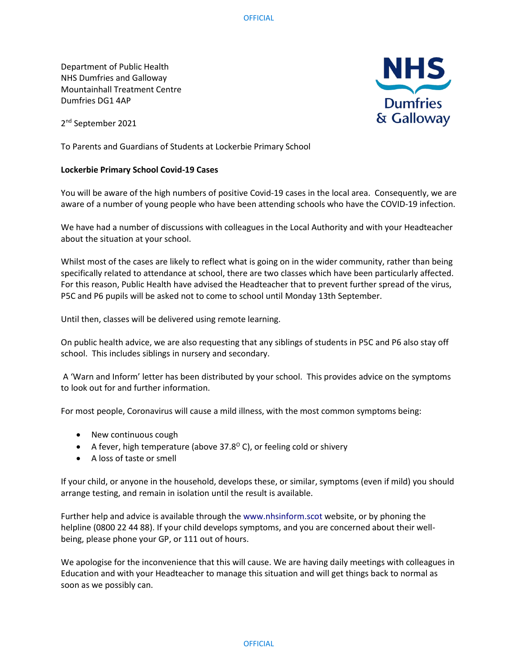Department of Public Health NHS Dumfries and Galloway Mountainhall Treatment Centre Dumfries DG1 4AP

2<sup>nd</sup> September 2021

To Parents and Guardians of Students at Lockerbie Primary School

## **Lockerbie Primary School Covid-19 Cases**

You will be aware of the high numbers of positive Covid-19 cases in the local area. Consequently, we are aware of a number of young people who have been attending schools who have the COVID-19 infection.

We have had a number of discussions with colleagues in the Local Authority and with your Headteacher about the situation at your school.

Whilst most of the cases are likely to reflect what is going on in the wider community, rather than being specifically related to attendance at school, there are two classes which have been particularly affected. For this reason, Public Health have advised the Headteacher that to prevent further spread of the virus, P5C and P6 pupils will be asked not to come to school until Monday 13th September.

Until then, classes will be delivered using remote learning.

On public health advice, we are also requesting that any siblings of students in P5C and P6 also stay off school. This includes siblings in nursery and secondary.

A 'Warn and Inform' letter has been distributed by your school. This provides advice on the symptoms to look out for and further information.

For most people, Coronavirus will cause a mild illness, with the most common symptoms being:

- New continuous cough
- A fever, high temperature (above 37.8 $^{\circ}$  C), or feeling cold or shivery
- A loss of taste or smell

If your child, or anyone in the household, develops these, or similar, symptoms (even if mild) you should arrange testing, and remain in isolation until the result is available.

Further help and advice is available through the www.nhsinform.scot website, or by phoning the helpline (0800 22 44 88). If your child develops symptoms, and you are concerned about their wellbeing, please phone your GP, or 111 out of hours.

We apologise for the inconvenience that this will cause. We are having daily meetings with colleagues in Education and with your Headteacher to manage this situation and will get things back to normal as soon as we possibly can.